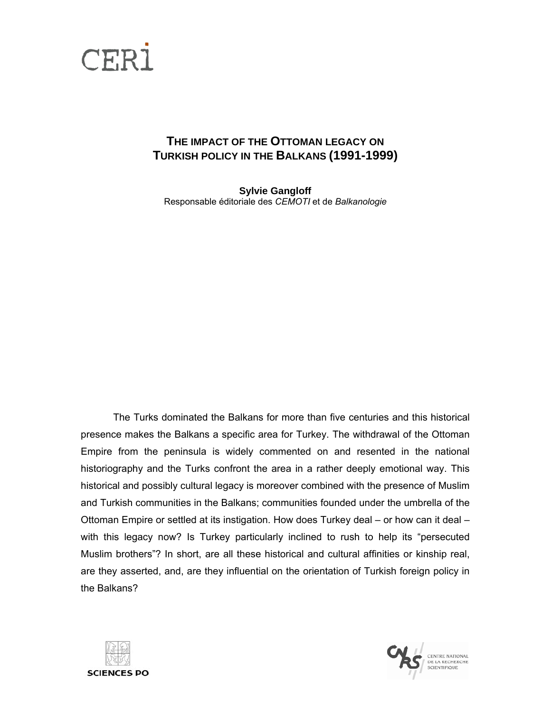

# **THE IMPACT OF THE OTTOMAN LEGACY ON TURKISH POLICY IN THE BALKANS (1991-1999)**

**Sylvie Gangloff**  Responsable éditoriale des *CEMOTI* et de *Balkanologie*

The Turks dominated the Balkans for more than five centuries and this historical presence makes the Balkans a specific area for Turkey. The withdrawal of the Ottoman Empire from the peninsula is widely commented on and resented in the national historiography and the Turks confront the area in a rather deeply emotional way. This historical and possibly cultural legacy is moreover combined with the presence of Muslim and Turkish communities in the Balkans; communities founded under the umbrella of the Ottoman Empire or settled at its instigation. How does Turkey deal – or how can it deal – with this legacy now? Is Turkey particularly inclined to rush to help its "persecuted Muslim brothers"? In short, are all these historical and cultural affinities or kinship real, are they asserted, and, are they influential on the orientation of Turkish foreign policy in the Balkans?



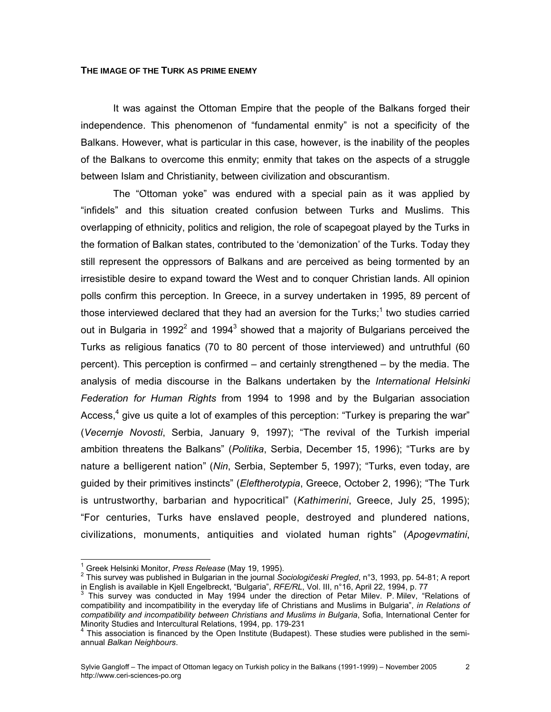## **THE IMAGE OF THE TURK AS PRIME ENEMY**

It was against the Ottoman Empire that the people of the Balkans forged their independence. This phenomenon of "fundamental enmity" is not a specificity of the Balkans. However, what is particular in this case, however, is the inability of the peoples of the Balkans to overcome this enmity; enmity that takes on the aspects of a struggle between Islam and Christianity, between civilization and obscurantism.

The "Ottoman yoke" was endured with a special pain as it was applied by "infidels" and this situation created confusion between Turks and Muslims. This overlapping of ethnicity, politics and religion, the role of scapegoat played by the Turks in the formation of Balkan states, contributed to the 'demonization' of the Turks. Today they still represent the oppressors of Balkans and are perceived as being tormented by an irresistible desire to expand toward the West and to conquer Christian lands. All opinion polls confirm this perception. In Greece, in a survey undertaken in 1995, 89 percent of those interviewed declared that they had an aversion for the Turks;<sup>[1](#page-1-0)</sup> two studies carried out in Bulgaria in 1992<sup>2</sup> and 1994<sup>[3](#page-1-2)</sup> showed that a majority of Bulgarians perceived the Turks as religious fanatics (70 to 80 percent of those interviewed) and untruthful (60 percent). This perception is confirmed – and certainly strengthened – by the media. The analysis of media discourse in the Balkans undertaken by the *International Helsinki Federation for Human Rights* from 1994 to 1998 and by the Bulgarian association Access,<sup>4</sup> give us quite a lot of examples of this perception: "Turkey is preparing the war" (*Vecernje Novosti*, Serbia, January 9, 1997); "The revival of the Turkish imperial ambition threatens the Balkans" (*Politika*, Serbia, December 15, 1996); "Turks are by nature a belligerent nation" (*Nin*, Serbia, September 5, 1997); "Turks, even today, are guided by their primitives instincts" (*Eleftherotypia*, Greece, October 2, 1996); "The Turk is untrustworthy, barbarian and hypocritical" (*Kathimerini*, Greece, July 25, 1995); "For centuries, Turks have enslaved people, destroyed and plundered nations, civilizations, monuments, antiquities and violated human rights" (*Apogevmatini*,

<span id="page-1-0"></span><sup>&</sup>lt;sup>1</sup> Greek Helsinki Monitor, Press Release (May 19, 1995).

<span id="page-1-1"></span><sup>&</sup>lt;sup>2</sup> This survey was published in Bulgarian in the journal *Sociologičeski Pregled*, n°3, 1993, pp. 54-81; A report in English is available in Kjell Engelbreckt, "Bulgaria", RFE/RL, Vol. III, n°16, April 22, 1994, p. 77

<span id="page-1-2"></span>This survey was conducted in May 1994 under the direction of Petar Milev. P. Milev. "Relations of compatibility and incompatibility in the everyday life of Christians and Muslims in Bulgaria", *in Relations of compatibility and incompatibility between Christians and Muslims in Bulgaria*, Sofia, International Center for Minority Studies and Intercultural Relations, 1994, pp. 179-231 4

<span id="page-1-3"></span> $4$  This association is financed by the Open Institute (Budapest). These studies were published in the semiannual *Balkan Neighbours*.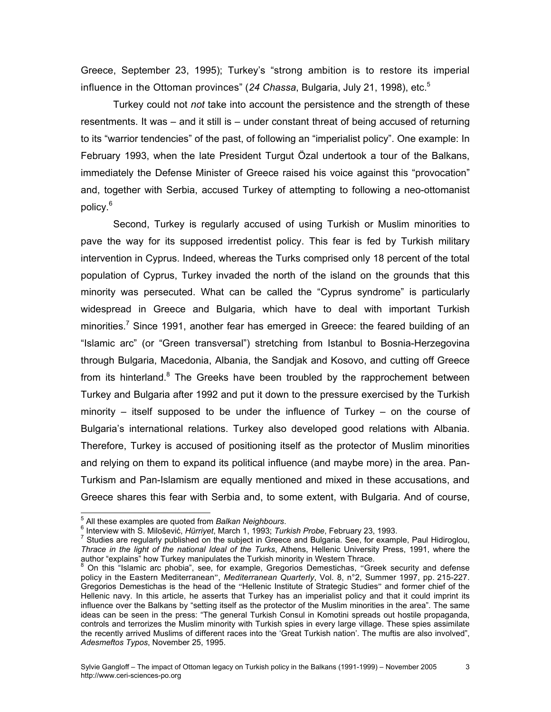Greece, September 23, 1995); Turkey's "strong ambition is to restore its imperial influence in the Ottoman provinces" (*24 Chassa*, Bulgaria, July 21, 1998), etc.[5](#page-2-0)

Turkey could not *not* take into account the persistence and the strength of these resentments. It was – and it still is – under constant threat of being accused of returning to its "warrior tendencies" of the past, of following an "imperialist policy". One example: In February 1993, when the late President Turgut Özal undertook a tour of the Balkans, immediately the Defense Minister of Greece raised his voice against this "provocation" and, together with Serbia, accused Turkey of attempting to following a neo-ottomanist policy.<sup>[6](#page-2-1)</sup>

Second, Turkey is regularly accused of using Turkish or Muslim minorities to pave the way for its supposed irredentist policy. This fear is fed by Turkish military intervention in Cyprus. Indeed, whereas the Turks comprised only 18 percent of the total population of Cyprus, Turkey invaded the north of the island on the grounds that this minority was persecuted. What can be called the "Cyprus syndrome" is particularly widespread in Greece and Bulgaria, which have to deal with important Turkish minorities.<sup>7</sup> Since 1991, another fear has emerged in Greece: the feared building of an "Islamic arc" (or "Green transversal") stretching from Istanbul to Bosnia-Herzegovina through Bulgaria, Macedonia, Albania, the Sandjak and Kosovo, and cutting off Greece from its hinterland. $8$  The Greeks have been troubled by the rapprochement between Turkey and Bulgaria after 1992 and put it down to the pressure exercised by the Turkish minority – itself supposed to be under the influence of Turkey – on the course of Bulgaria's international relations. Turkey also developed good relations with Albania. Therefore, Turkey is accused of positioning itself as the protector of Muslim minorities and relying on them to expand its political influence (and maybe more) in the area. Pan-Turkism and Pan-Islamism are equally mentioned and mixed in these accusations, and Greece shares this fear with Serbia and, to some extent, with Bulgaria. And of course,

<span id="page-2-0"></span><sup>&</sup>lt;sup>5</sup> All these examples are quoted from Balkan Neighbours. <sup>5</sup> All these examples are quoted from *Balkan Neighbours.*<br><sup>6</sup> Interview with S. Milošović, Hürriyet, March 1, 1993: Turl

<span id="page-2-1"></span><sup>&</sup>lt;sup>o</sup> Interview with S. Milošević, *Hürriyet*, March 1, 1993; *Turkish Probe*, February 23, 1993.<br><sup>7</sup> Studies are regularly published an the subject in Crosse and Pulsaria. See, for examp

<span id="page-2-2"></span><sup>&</sup>lt;sup>7</sup> Studies are regularly published on the subject in Greece and Bulgaria. See, for example, Paul Hidiroglou, *Thrace in the light of the national Ideal of the Turks*, Athens, Hellenic University Press, 1991, where the author "explains" how Turkey manipulates the Turkish minority in Western Thrace. 8

<span id="page-2-3"></span>On this "Islamic arc phobia", see, for example, Gregorios Demestichas, "Greek security and defense policy in the Eastern Mediterranean", *Mediterranean Quarterly*, Vol. 8, n°2, Summer 1997, pp. 215-227. Gregorios Demestichas is the head of the "Hellenic Institute of Strategic Studies" and former chief of the Hellenic navy. In this article, he asserts that Turkey has an imperialist policy and that it could imprint its influence over the Balkans by "setting itself as the protector of the Muslim minorities in the area". The same ideas can be seen in the press: "The general Turkish Consul in Komotini spreads out hostile propaganda, controls and terrorizes the Muslim minority with Turkish spies in every large village. These spies assimilate the recently arrived Muslims of different races into the 'Great Turkish nation'. The muftis are also involved", *Adesmeftos Typos*, November 25, 1995.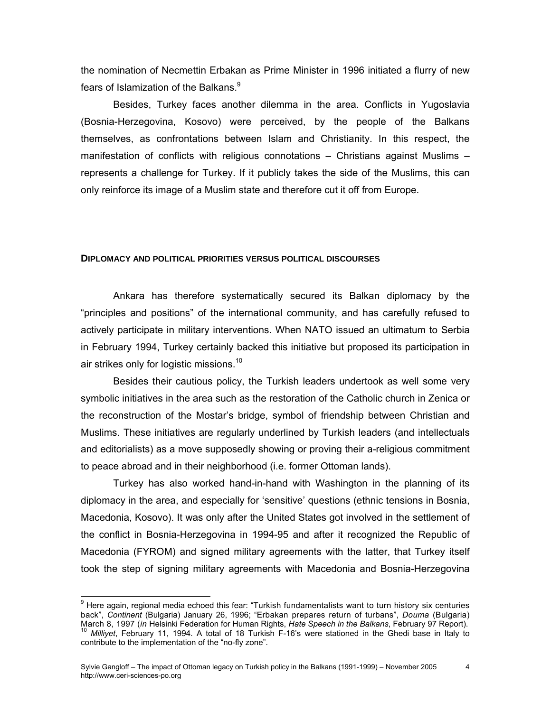the nomination of Necmettin Erbakan as Prime Minister in 1996 initiated a flurry of new fears of Islamization of the Balkans.<sup>[9](#page-3-0)</sup>

Besides, Turkey faces another dilemma in the area. Conflicts in Yugoslavia (Bosnia-Herzegovina, Kosovo) were perceived, by the people of the Balkans themselves, as confrontations between Islam and Christianity. In this respect, the manifestation of conflicts with religious connotations – Christians against Muslims – represents a challenge for Turkey. If it publicly takes the side of the Muslims, this can only reinforce its image of a Muslim state and therefore cut it off from Europe.

### **DIPLOMACY AND POLITICAL PRIORITIES VERSUS POLITICAL DISCOURSES**

Ankara has therefore systematically secured its Balkan diplomacy by the "principles and positions" of the international community, and has carefully refused to actively participate in military interventions. When NATO issued an ultimatum to Serbia in February 1994, Turkey certainly backed this initiative but proposed its participation in air strikes only for logistic missions.<sup>10</sup>

Besides their cautious policy, the Turkish leaders undertook as well some very symbolic initiatives in the area such as the restoration of the Catholic church in Zenica or the reconstruction of the Mostar's bridge, symbol of friendship between Christian and Muslims. These initiatives are regularly underlined by Turkish leaders (and intellectuals and editorialists) as a move supposedly showing or proving their a-religious commitment to peace abroad and in their neighborhood (i.e. former Ottoman lands).

Turkey has also worked hand-in-hand with Washington in the planning of its diplomacy in the area, and especially for 'sensitive' questions (ethnic tensions in Bosnia, Macedonia, Kosovo). It was only after the United States got involved in the settlement of the conflict in Bosnia-Herzegovina in 1994-95 and after it recognized the Republic of Macedonia (FYROM) and signed military agreements with the latter, that Turkey itself took the step of signing military agreements with Macedonia and Bosnia-Herzegovina

<span id="page-3-1"></span><span id="page-3-0"></span>9 Here again, regional media echoed this fear: "Turkish fundamentalists want to turn history six centuries back", *Continent* (Bulgaria) January 26, 1996; "Erbakan prepares return of turbans", *Douma* (Bulgaria) Milliyet, February 11, 1994. A total of 18 Turkish F-16's were stationed in the Ghedi base in Italy to contribute to the implementation of the "no-fly zone".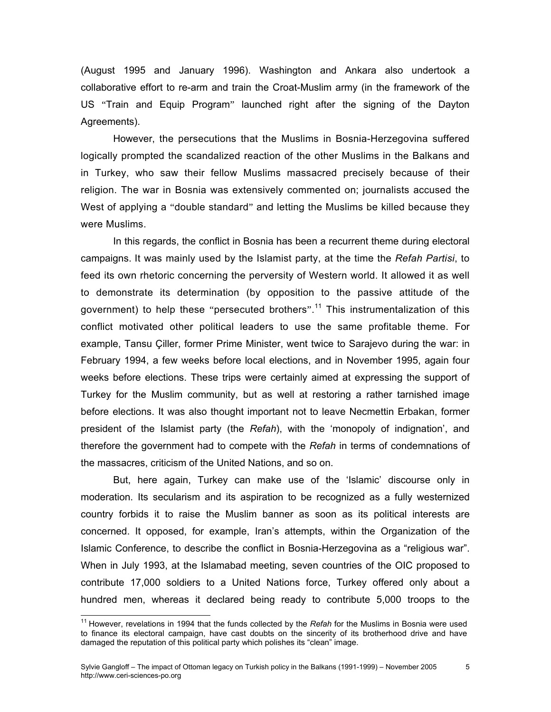(August 1995 and January 1996). Washington and Ankara also undertook a collaborative effort to re-arm and train the Croat-Muslim army (in the framework of the US "Train and Equip Program" launched right after the signing of the Dayton Agreements).

However, the persecutions that the Muslims in Bosnia-Herzegovina suffered logically prompted the scandalized reaction of the other Muslims in the Balkans and in Turkey, who saw their fellow Muslims massacred precisely because of their religion. The war in Bosnia was extensively commented on; journalists accused the West of applying a "double standard" and letting the Muslims be killed because they were Muslims.

In this regards, the conflict in Bosnia has been a recurrent theme during electoral campaigns. It was mainly used by the Islamist party, at the time the *Refah Partisi*, to feed its own rhetoric concerning the perversity of Western world. It allowed it as well to demonstrate its determination (by opposition to the passive attitude of the government) to help these "persecuted brothers".<sup>11</sup> This instrumentalization of this conflict motivated other political leaders to use the same profitable theme. For example, Tansu Çiller, former Prime Minister, went twice to Sarajevo during the war: in February 1994, a few weeks before local elections, and in November 1995, again four weeks before elections. These trips were certainly aimed at expressing the support of Turkey for the Muslim community, but as well at restoring a rather tarnished image before elections. It was also thought important not to leave Necmettin Erbakan, former president of the Islamist party (the *Refah*), with the 'monopoly of indignation', and therefore the government had to compete with the *Refah* in terms of condemnations of the massacres, criticism of the United Nations, and so on.

But, here again, Turkey can make use of the 'Islamic' discourse only in moderation. Its secularism and its aspiration to be recognized as a fully westernized country forbids it to raise the Muslim banner as soon as its political interests are concerned. It opposed, for example, Iran's attempts, within the Organization of the Islamic Conference, to describe the conflict in Bosnia-Herzegovina as a "religious war". When in July 1993, at the Islamabad meeting, seven countries of the OIC proposed to contribute 17,000 soldiers to a United Nations force, Turkey offered only about a hundred men, whereas it declared being ready to contribute 5,000 troops to the

<span id="page-4-0"></span><sup>&</sup>lt;sup>11</sup> However, revelations in 1994 that the funds collected by the *Refah* for the Muslims in Bosnia were used to finance its electoral campaign, have cast doubts on the sincerity of its brotherhood drive and have damaged the reputation of this political party which polishes its "clean" image.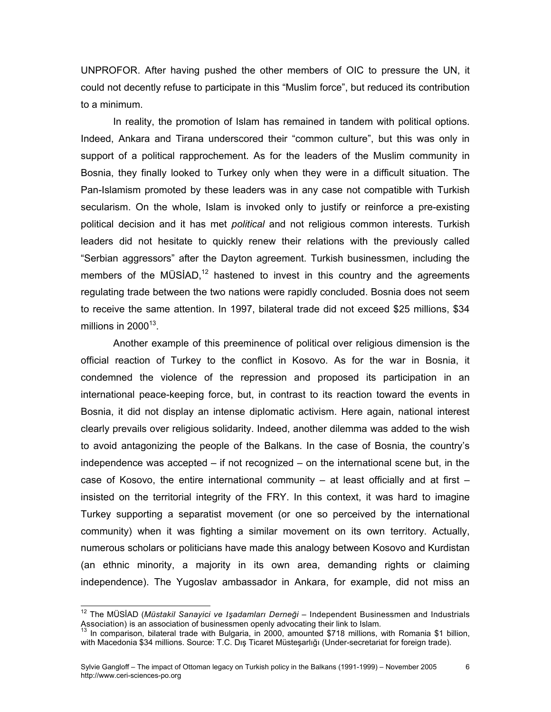UNPROFOR. After having pushed the other members of OIC to pressure the UN, it could not decently refuse to participate in this "Muslim force", but reduced its contribution to a minimum.

In reality, the promotion of Islam has remained in tandem with political options. Indeed, Ankara and Tirana underscored their "common culture", but this was only in support of a political rapprochement. As for the leaders of the Muslim community in Bosnia, they finally looked to Turkey only when they were in a difficult situation. The Pan-Islamism promoted by these leaders was in any case not compatible with Turkish secularism. On the whole, Islam is invoked only to justify or reinforce a pre-existing political decision and it has met *political* and not religious common interests. Turkish leaders did not hesitate to quickly renew their relations with the previously called "Serbian aggressors" after the Dayton agreement. Turkish businessmen, including the members of the MÜSIAD,<sup>12</sup> hastened to invest in this country and the agreements regulating trade between the two nations were rapidly concluded. Bosnia does not seem to receive the same attention. In 1997, bilateral trade did not exceed \$25 millions, \$34 millions in  $2000^{13}$ .

Another example of this preeminence of political over religious dimension is the official reaction of Turkey to the conflict in Kosovo. As for the war in Bosnia, it condemned the violence of the repression and proposed its participation in an international peace-keeping force, but, in contrast to its reaction toward the events in Bosnia, it did not display an intense diplomatic activism. Here again, national interest clearly prevails over religious solidarity. Indeed, another dilemma was added to the wish to avoid antagonizing the people of the Balkans. In the case of Bosnia, the country's independence was accepted – if not recognized – on the international scene but, in the case of Kosovo, the entire international community  $-$  at least officially and at first  $$ insisted on the territorial integrity of the FRY. In this context, it was hard to imagine Turkey supporting a separatist movement (or one so perceived by the international community) when it was fighting a similar movement on its own territory. Actually, numerous scholars or politicians have made this analogy between Kosovo and Kurdistan (an ethnic minority, a majority in its own area, demanding rights or claiming independence). The Yugoslav ambassador in Ankara, for example, did not miss an

<span id="page-5-0"></span>12 The MÜSİAD (*Müstakil Sanayici ve <sup>I</sup>şadamları Derneğ<sup>i</sup>* – Independent Businessmen and Industrials Association) is an association of businessmen openly advocating their link to Islam.<br><sup>13</sup> In comparison, bilateral trade with Bulgaria, in 2000, amounted \$718 millions, with Romania \$1 billion,

<span id="page-5-1"></span>with Macedonia \$34 millions. Source: T.C. Dış Ticaret Müsteşarlığı (Under-secretariat for foreign trade).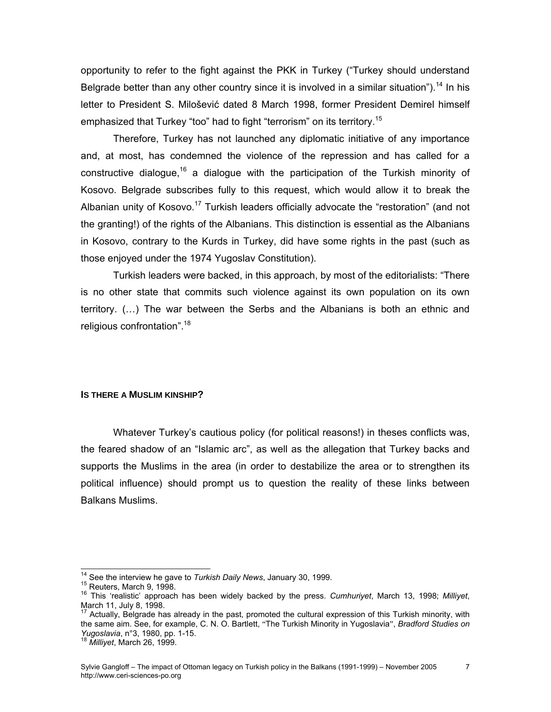opportunity to refer to the fight against the PKK in Turkey ("Turkey should understand Belgrade better than any other country since it is involved in a similar situation").<sup>14</sup> In his letter to President S. Milošević dated 8 March 1998, former President Demirel himself emphasized that Turkey "too" had to fight "terrorism" on its territory.<sup>[15](#page-6-1)</sup>

Therefore, Turkey has not launched any diplomatic initiative of any importance and, at most, has condemned the violence of the repression and has called for a constructive dialogue,<sup>16</sup> a dialogue with the participation of the Turkish minority of Kosovo. Belgrade subscribes fully to this request, which would allow it to break the Albanian unity of Kosovo.<sup>17</sup> Turkish leaders officially advocate the "restoration" (and not the granting!) of the rights of the Albanians. This distinction is essential as the Albanians in Kosovo, contrary to the Kurds in Turkey, did have some rights in the past (such as those enjoyed under the 1974 Yugoslav Constitution).

Turkish leaders were backed, in this approach, by most of the editorialists: "There is no other state that commits such violence against its own population on its own territory. (…) The war between the Serbs and the Albanians is both an ethnic and religious confrontation".[18](#page-6-4)

### **IS THERE A MUSLIM KINSHIP?**

Whatever Turkey's cautious policy (for political reasons!) in theses conflicts was, the feared shadow of an "Islamic arc", as well as the allegation that Turkey backs and supports the Muslims in the area (in order to destabilize the area or to strengthen its political influence) should prompt us to question the reality of these links between Balkans Muslims.

<span id="page-6-0"></span>

<span id="page-6-2"></span><span id="page-6-1"></span>

<sup>&</sup>lt;sup>14</sup> See the interview he gave to *Turkish Daily News*, January 30, 1999.<br><sup>15</sup> Reuters, March 9, 1998.<br><sup>16</sup> This 'realistic' approach has been widely backed by the press. *Cumhuriyet*, March 13, 1998; *Milliyet*, March 11, July 8, 1998.<br><sup>17</sup> Actually, Belgrade has already in the past, promoted the cultural expression of this Turkish minority, with

<span id="page-6-3"></span>the same aim. See, for example, C. N. O. Bartlett, "The Turkish Minority in Yugoslavia", *Bradford Studies on Yugoslavia*, n°3, 1980, pp. 1-15. 18 *Milliyet*, March 26, 1999.

<span id="page-6-4"></span>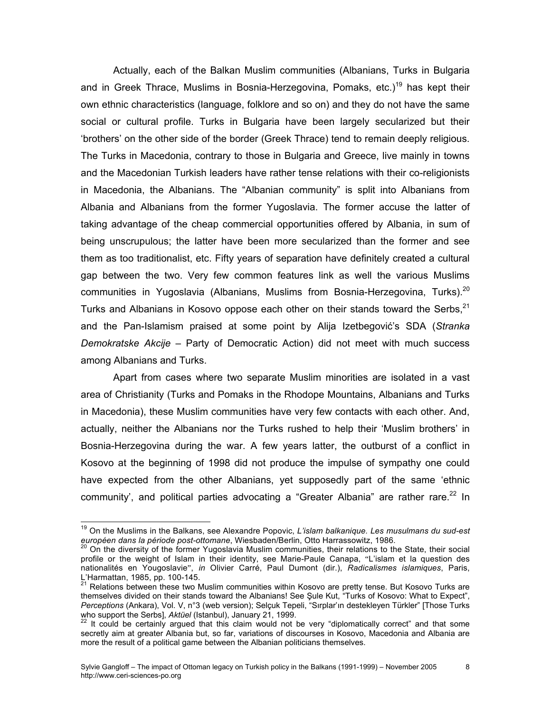Actually, each of the Balkan Muslim communities (Albanians, Turks in Bulgaria and in Greek Thrace, Muslims in Bosnia-Herzegovina, Pomaks, etc.)<sup>19</sup> has kept their own ethnic characteristics (language, folklore and so on) and they do not have the same social or cultural profile. Turks in Bulgaria have been largely secularized but their 'brothers' on the other side of the border (Greek Thrace) tend to remain deeply religious. The Turks in Macedonia, contrary to those in Bulgaria and Greece, live mainly in towns and the Macedonian Turkish leaders have rather tense relations with their co-religionists in Macedonia, the Albanians. The "Albanian community" is split into Albanians from Albania and Albanians from the former Yugoslavia. The former accuse the latter of taking advantage of the cheap commercial opportunities offered by Albania, in sum of being unscrupulous; the latter have been more secularized than the former and see them as too traditionalist, etc. Fifty years of separation have definitely created a cultural gap between the two. Very few common features link as well the various Muslims communities in Yugoslavia (Albanians, Muslims from Bosnia-Herzegovina, Turks).<sup>[20](#page-7-1)</sup> Turks and Albanians in Kosovo oppose each other on their stands toward the Serbs, $2^1$ and the Pan-Islamism praised at some point by Alija Izetbegović's SDA (*Stranka Demokratske Akcije* – Party of Democratic Action) did not meet with much success among Albanians and Turks.

Apart from cases where two separate Muslim minorities are isolated in a vast area of Christianity (Turks and Pomaks in the Rhodope Mountains, Albanians and Turks in Macedonia), these Muslim communities have very few contacts with each other. And, actually, neither the Albanians nor the Turks rushed to help their 'Muslim brothers' in Bosnia-Herzegovina during the war. A few years latter, the outburst of a conflict in Kosovo at the beginning of 1998 did not produce the impulse of sympathy one could have expected from the other Albanians, yet supposedly part of the same 'ethnic community', and political parties advocating a "Greater Albania" are rather rare.<sup>22</sup> In

<span id="page-7-0"></span>19 On the Muslims in the Balkans, see Alexandre Popovic, *L'islam balkanique. Les musulmans du sud-est* européen dans la période post-ottomane, Wiesbaden/Berlin, Otto Harrassowitz, 1986.<br><sup>20</sup> On the diversity of the former Yugoslavia Muslim communities, their relations to the State, their social<br><sup>20</sup> On the diversity of the

<span id="page-7-1"></span>profile or the weight of Islam in their identity, see Marie-Paule Canapa, "L'islam et la question des nationalités en Yougoslavie", *in* Olivier Carré, Paul Dumont (dir.), *Radicalismes islamiques*, Paris, L'Harmattan, 1985, pp. 100-145.<br><sup>21</sup> Relations between these two Muslim communities within Kosovo are pretty tense. But Kosovo Turks are

<span id="page-7-2"></span>themselves divided on their stands toward the Albanians! See Şule Kut, "Turks of Kosovo: What to Expect", *Perceptions* (Ankara), Vol. V, n°3 (web version); Selçuk Tepeli, "Sırplar'ın destekleyen Türkler" [Those Turks who support the Serbs], *Aktüel* (Istanbul), January 21, 1999.<br><sup>22</sup> It could be certainly argued that this claim would not be very "diplomatically correct" and that some

<span id="page-7-3"></span>secretly aim at greater Albania but, so far, variations of discourses in Kosovo, Macedonia and Albania are more the result of a political game between the Albanian politicians themselves.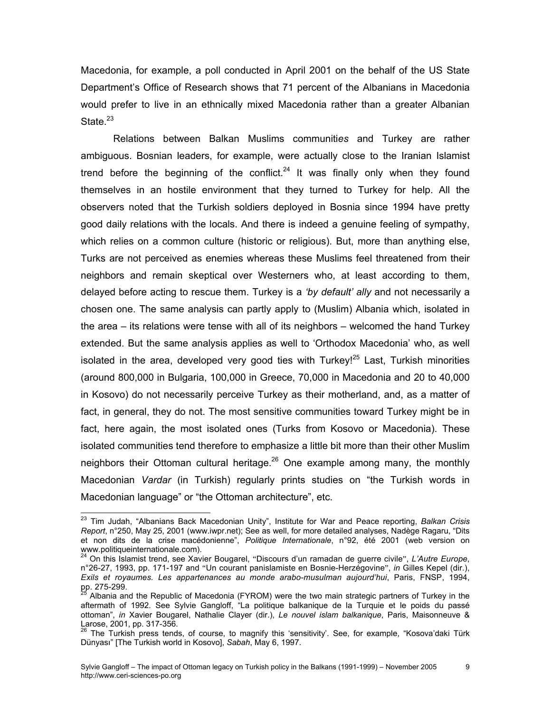Macedonia, for example, a poll conducted in April 2001 on the behalf of the US State Department's Office of Research shows that 71 percent of the Albanians in Macedonia would prefer to live in an ethnically mixed Macedonia rather than a greater Albanian State. $23$ 

Relations between Balkan Muslims communiti*es* and Turkey are rather ambiguous. Bosnian leaders, for example, were actually close to the Iranian Islamist trend before the beginning of the conflict.<sup>24</sup> It was finally only when they found themselves in an hostile environment that they turned to Turkey for help. All the observers noted that the Turkish soldiers deployed in Bosnia since 1994 have pretty good daily relations with the locals. And there is indeed a genuine feeling of sympathy, which relies on a common culture (historic or religious). But, more than anything else, Turks are not perceived as enemies whereas these Muslims feel threatened from their neighbors and remain skeptical over Westerners who, at least according to them, delayed before acting to rescue them. Turkey is a *'by default' ally* and not necessarily a chosen one. The same analysis can partly apply to (Muslim) Albania which, isolated in the area – its relations were tense with all of its neighbors – welcomed the hand Turkey extended. But the same analysis applies as well to 'Orthodox Macedonia' who, as well isolated in the area, developed very good ties with Turkey! $^{25}$  Last, Turkish minorities (around 800,000 in Bulgaria, 100,000 in Greece, 70,000 in Macedonia and 20 to 40,000 in Kosovo) do not necessarily perceive Turkey as their motherland, and, as a matter of fact, in general, they do not. The most sensitive communities toward Turkey might be in fact, here again, the most isolated ones (Turks from Kosovo or Macedonia). These isolated communities tend therefore to emphasize a little bit more than their other Muslim neighbors their Ottoman cultural heritage.<sup>26</sup> One example among many, the monthly Macedonian *Vardar* (in Turkish) regularly prints studies on "the Turkish words in Macedonian language" or "the Ottoman architecture", etc.

<span id="page-8-0"></span>23 Tim Judah, "Albanians Back Macedonian Unity", Institute for War and Peace reporting, *Balkan Crisis Report*, n°250, May 25, 2001 (www.iwpr.net); See as well, for more detailed analyses, Nadège Ragaru, "Dits et non dits de la crise macédonienne", *Politique Internationale*, n°92, été 2001 (web version on www.politiqueinternationale.com). 24 On this Islamist trend, see Xavier Bougarel, "Discours d'un ramadan de guerre civile", *L'Autre Europe*,

<span id="page-8-1"></span>n°26-27, 1993, pp. 171-197 and "Un courant panislamiste en Bosnie-Herzégovine", *in* Gilles Kepel (dir.), *Exils et royaumes. Les appartenances au monde arabo-musulman aujourd'hui*, Paris, FNSP, 1994, pp. 275-299.<br><sup>25</sup> Albania and the Republic of Macedonia (FYROM) were the two main strategic partners of Turkey in the

<span id="page-8-2"></span>aftermath of 1992. See Sylvie Gangloff, "La politique balkanique de la Turquie et le poids du passé ottoman", *in* Xavier Bougarel, Nathalie Clayer (dir.), *Le nouvel islam balkanique*, Paris, Maisonneuve & Larose, 2001, pp. 317-356.<br><sup>26</sup> The Turkish press tends, of course, to magnify this 'sensitivity'. See, for example, "Kosova'daki Türk

<span id="page-8-3"></span>Dünyası" [The Turkish world in Kosovo], *Sabah*, May 6, 1997.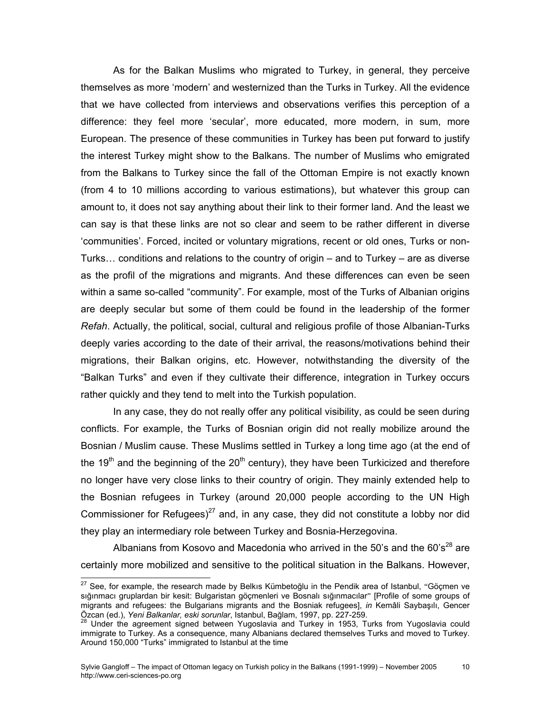As for the Balkan Muslims who migrated to Turkey, in general, they perceive themselves as more 'modern' and westernized than the Turks in Turkey. All the evidence that we have collected from interviews and observations verifies this perception of a difference: they feel more 'secular', more educated, more modern, in sum, more European. The presence of these communities in Turkey has been put forward to justify the interest Turkey might show to the Balkans. The number of Muslims who emigrated from the Balkans to Turkey since the fall of the Ottoman Empire is not exactly known (from 4 to 10 millions according to various estimations), but whatever this group can amount to, it does not say anything about their link to their former land. And the least we can say is that these links are not so clear and seem to be rather different in diverse 'communities'. Forced, incited or voluntary migrations, recent or old ones, Turks or non-Turks… conditions and relations to the country of origin – and to Turkey – are as diverse as the profil of the migrations and migrants. And these differences can even be seen within a same so-called "community". For example, most of the Turks of Albanian origins are deeply secular but some of them could be found in the leadership of the former *Refah*. Actually, the political, social, cultural and religious profile of those Albanian-Turks deeply varies according to the date of their arrival, the reasons/motivations behind their migrations, their Balkan origins, etc. However, notwithstanding the diversity of the "Balkan Turks" and even if they cultivate their difference, integration in Turkey occurs rather quickly and they tend to melt into the Turkish population.

In any case, they do not really offer any political visibility, as could be seen during conflicts. For example, the Turks of Bosnian origin did not really mobilize around the Bosnian / Muslim cause. These Muslims settled in Turkey a long time ago (at the end of the 19<sup>th</sup> and the beginning of the 20<sup>th</sup> century), they have been Turkicized and therefore no longer have very close links to their country of origin. They mainly extended help to the Bosnian refugees in Turkey (around 20,000 people according to the UN High Commissioner for Refugees)<sup>27</sup> and, in any case, they did not constitute a lobby nor did they play an intermediary role between Turkey and Bosnia-Herzegovina.

Albanians from Kosovo and Macedonia who arrived in the 50's and the  $60's^{28}$  are certainly more mobilized and sensitive to the political situation in the Balkans. However,

<span id="page-9-0"></span> $27$  See, for example, the research made by Belkis Kümbetoğlu in the Pendik area of Istanbul, "Göçmen ve sığınmacı gruplardan bir kesit: Bulgaristan göçmenleri ve Bosnalı sığınmacılar" [Profile of some groups of migrants and refugees: the Bulgarians migrants and the Bosniak refugees], *in* Kemâli Saybaşılı, Gencer

<span id="page-9-1"></span>Under the agreement signed between Yugoslavia and Turkey in 1953, Turks from Yugoslavia could immigrate to Turkey. As a consequence, many Albanians declared themselves Turks and moved to Turkey. Around 150,000 "Turks" immigrated to Istanbul at the time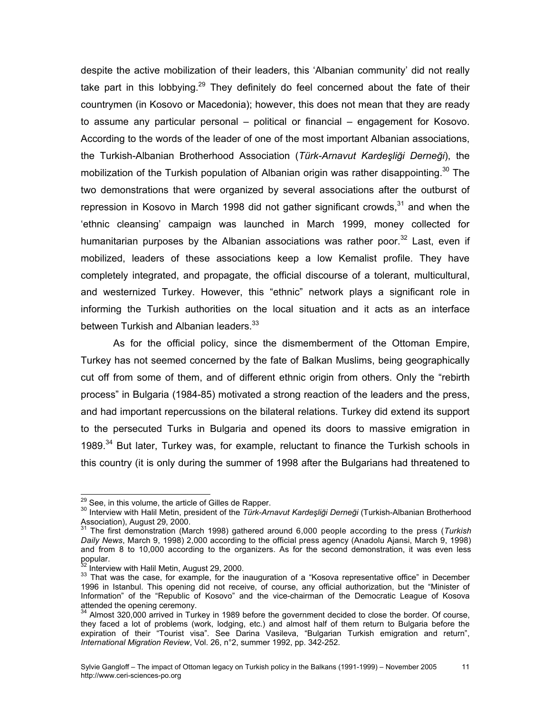despite the active mobilization of their leaders, this 'Albanian community' did not really take part in this lobbying.<sup>29</sup> They definitely do feel concerned about the fate of their countrymen (in Kosovo or Macedonia); however, this does not mean that they are ready to assume any particular personal – political or financial – engagement for Kosovo. According to the words of the leader of one of the most important Albanian associations, the Turkish-Albanian Brotherhood Association (*Türk-Arnavut Kardeşliği Derneği*), the mobilization of the Turkish population of Albanian origin was rather disappointing.<sup>30</sup> The two demonstrations that were organized by several associations after the outburst of repression in Kosovo in March 1998 did not gather significant crowds, $31$  and when the 'ethnic cleansing' campaign was launched in March 1999, money collected for humanitarian purposes by the Albanian associations was rather poor. $32$  Last, even if mobilized, leaders of these associations keep a low Kemalist profile. They have completely integrated, and propagate, the official discourse of a tolerant, multicultural, and westernized Turkey. However, this "ethnic" network plays a significant role in informing the Turkish authorities on the local situation and it acts as an interface between Turkish and Albanian leaders.<sup>33</sup>

As for the official policy, since the dismemberment of the Ottoman Empire, Turkey has not seemed concerned by the fate of Balkan Muslims, being geographically cut off from some of them, and of different ethnic origin from others. Only the "rebirth process" in Bulgaria (1984-85) motivated a strong reaction of the leaders and the press, and had important repercussions on the bilateral relations. Turkey did extend its support to the persecuted Turks in Bulgaria and opened its doors to massive emigration in 1989. $34$  But later, Turkey was, for example, reluctant to finance the Turkish schools in this country (it is only during the summer of 1998 after the Bulgarians had threatened to

<span id="page-10-1"></span><span id="page-10-0"></span>

<sup>&</sup>lt;sup>29</sup> See, in this volume, the article of Gilles de Rapper.<br><sup>30</sup> Interview with Halil Metin, president of the *Türk-Arnavut Kardeşliği Derneği* (Turkish-Albanian Brotherhood

<span id="page-10-2"></span>Association), August 29, 2000. 31 The first demonstration (March 1998) gathered around 6,000 people according to the press (*Turkish Daily News*, March 9, 1998) 2,000 according to the official press agency (Anadolu Ajansi, March 9, 1998) and from 8 to 10,000 according to the organizers. As for the second demonstration, it was even less popular.<br>  $\frac{32}{2}$  Interview with Halil Metin, August 29, 2000.

<span id="page-10-3"></span>

<span id="page-10-4"></span>as littlerview with Halil Metrit, August 29, 2000.<br><sup>33</sup> That was the case, for example, for the inauguration of a "Kosova representative office" in December 1996 in Istanbul. This opening did not receive, of course, any official authorization, but the "Minister of Information" of the "Republic of Kosovo" and the vice-chairman of the Democratic League of Kosova attended the opening ceremony.<br><sup>34</sup> Almost 320,000 arrived in Turkey in 1989 before the government decided to close the border. Of course,

<span id="page-10-5"></span>they faced a lot of problems (work, lodging, etc.) and almost half of them return to Bulgaria before the expiration of their "Tourist visa". See Darina Vasileva, "Bulgarian Turkish emigration and return", *International Migration Review*, Vol. 26, n°2, summer 1992, pp. 342-252.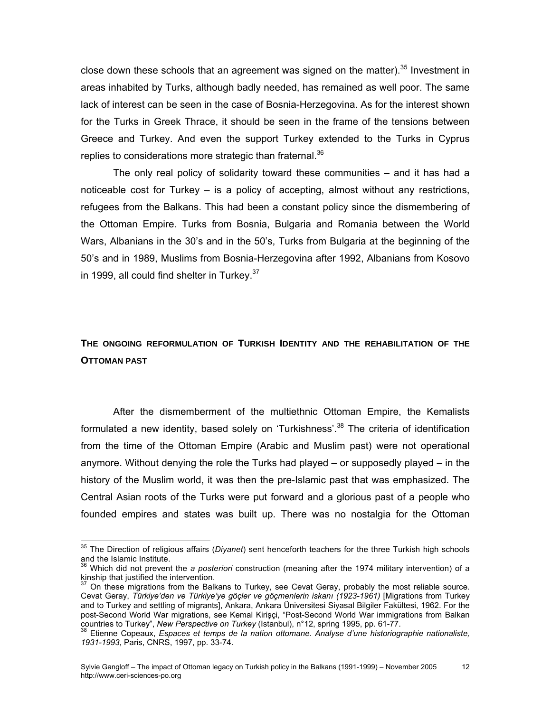close down these schools that an agreement was signed on the matter).<sup>35</sup> Investment in areas inhabited by Turks, although badly needed, has remained as well poor. The same lack of interest can be seen in the case of Bosnia-Herzegovina. As for the interest shown for the Turks in Greek Thrace, it should be seen in the frame of the tensions between Greece and Turkey. And even the support Turkey extended to the Turks in Cyprus replies to considerations more strategic than fraternal.<sup>[36](#page-11-1)</sup>

The only real policy of solidarity toward these communities – and it has had a noticeable cost for Turkey – is a policy of accepting, almost without any restrictions, refugees from the Balkans. This had been a constant policy since the dismembering of the Ottoman Empire. Turks from Bosnia, Bulgaria and Romania between the World Wars, Albanians in the 30's and in the 50's, Turks from Bulgaria at the beginning of the 50's and in 1989, Muslims from Bosnia-Herzegovina after 1992, Albanians from Kosovo in 1999, all could find shelter in Turkey. $37$ 

# **THE ONGOING REFORMULATION OF TURKISH IDENTITY AND THE REHABILITATION OF THE OTTOMAN PAST**

After the dismemberment of the multiethnic Ottoman Empire, the Kemalists formulated a new identity, based solely on 'Turkishness'.<sup>38</sup> The criteria of identification from the time of the Ottoman Empire (Arabic and Muslim past) were not operational anymore. Without denying the role the Turks had played – or supposedly played – in the history of the Muslim world, it was then the pre-Islamic past that was emphasized. The Central Asian roots of the Turks were put forward and a glorious past of a people who founded empires and states was built up. There was no nostalgia for the Ottoman

<span id="page-11-0"></span>35 The Direction of religious affairs (*Diyanet*) sent henceforth teachers for the three Turkish high schools

<span id="page-11-1"></span>and the Islamic Institute.<br><sup>36</sup> Which did not prevent the *a posteriori* construction (meaning after the 1974 military intervention) of a<br><sup>37</sup> On the intervention of the *a* form the *a*<sup>37</sup> On the minimum of the 1974 mili

<span id="page-11-2"></span> $\frac{1}{\sqrt{2}}$  On these migrations from the Balkans to Turkey, see Cevat Geray, probably the most reliable source. Cevat Geray, *Türkiye'den ve Türkiye'ye göçler ve göçmenlerin iskanı (1923-1961)* [Migrations from Turkey and to Turkey and settling of migrants], Ankara, Ankara Üniversitesi Siyasal Bilgiler Fakültesi, 1962. For the post-Second World War migrations, see Kemal Kirişçi, "Post-Second World War immigrations from Balkan<br>countries to Turkey", New Perspective on Turkey (Istanbul), n°12, spring 1995, pp. 61-77.

<span id="page-11-3"></span><sup>&</sup>lt;sup>38</sup> Etienne Copeaux, *Espaces et temps de la nation ottomane. Analyse d'une historiographie nationaliste, 1931-1993*, Paris, CNRS, 1997, pp. 33-74.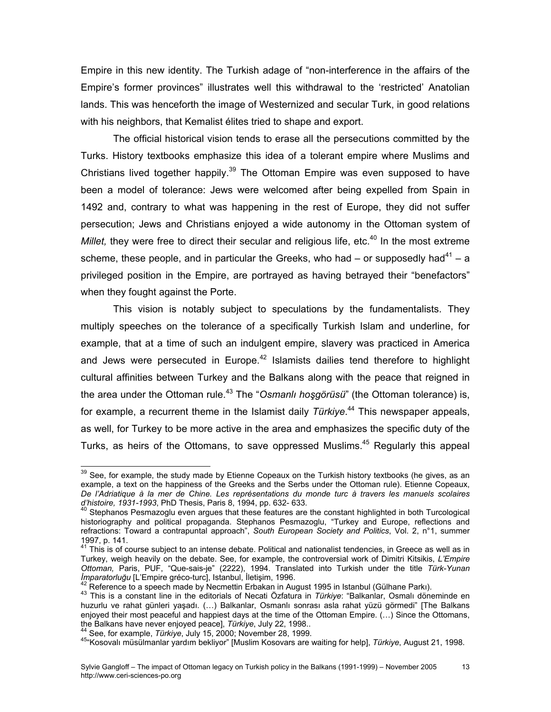Empire in this new identity. The Turkish adage of "non-interference in the affairs of the Empire's former provinces" illustrates well this withdrawal to the 'restricted' Anatolian lands. This was henceforth the image of Westernized and secular Turk, in good relations with his neighbors, that Kemalist élites tried to shape and export.

The official historical vision tends to erase all the persecutions committed by the Turks. History textbooks emphasize this idea of a tolerant empire where Muslims and Christians lived together happily.<sup>39</sup> The Ottoman Empire was even supposed to have been a model of tolerance: Jews were welcomed after being expelled from Spain in 1492 and, contrary to what was happening in the rest of Europe, they did not suffer persecution; Jews and Christians enjoyed a wide autonomy in the Ottoman system of *Millet,* they were free to direct their secular and religious life, etc.<sup>40</sup> In the most extreme scheme, these people, and in particular the Greeks, who had – or supposedly had<sup>41</sup> – a privileged position in the Empire, are portrayed as having betrayed their "benefactors" when they fought against the Porte.

This vision is notably subject to speculations by the fundamentalists. They multiply speeches on the tolerance of a specifically Turkish Islam and underline, for example, that at a time of such an indulgent empire, slavery was practiced in America and Jews were persecuted in Europe.<sup>42</sup> Islamists dailies tend therefore to highlight cultural affinities between Turkey and the Balkans along with the peace that reigned in the area under the Ottoman rule.<sup>43</sup> The "Osmanlı hosgörüsü" (the Ottoman tolerance) is, for example, a recurrent theme in the Islamist daily *Türkiye*. [44](#page-12-5) This newspaper appeals, as well, for Turkey to be more active in the area and emphasizes the specific duty of the Turks, as heirs of the Ottomans, to save oppressed Muslims.<sup>45</sup> Regularly this appeal

<span id="page-12-0"></span><sup>&</sup>lt;sup>39</sup> See, for example, the study made by Etienne Copeaux on the Turkish history textbooks (he gives, as an example, a text on the happiness of the Greeks and the Serbs under the Ottoman rule). Etienne Copeaux, *De l'Adriatique à la mer de Chine. Les représentations du monde turc à travers les manuels scolaires d'histoire, 1931-1993*, PhD Thesis, Paris 8, 1994, pp. 632- 633.<br><sup>40</sup> Stephanos Pesmazoglu even argues that these features are the constant highlighted in both Turcological<sup>40</sup>

<span id="page-12-1"></span>historiography and political propaganda. Stephanos Pesmazoglu, "Turkey and Europe, reflections and refractions: Toward a contrapuntal approach", *South European Society and Politics*, Vol. 2, n°1, summer 1997, p. 141.<br> $1497$ , p. 141.<br> $141$  This is of course subject to an intense debate. Political and nationalist tendencies, in Greece as well as in

<span id="page-12-2"></span>Turkey, weigh heavily on the debate. See, for example, the controversial work of Dimitri Kitsikis, *L'Empire Ottoman,* Paris, PUF, "Que-sais-je" (2222), 1994. Translated into Turkish under the title *Türk-Yunan* 

<span id="page-12-4"></span><span id="page-12-3"></span>

<sup>43</sup> This is a constant line in the editorials of Necati Özfatura in August 1995 in Istanbul (Gülhane Parkı).<br><sup>43</sup> This is a constant line in the editorials of Necati Özfatura in *Türkiye*: "Balkanlar, Osmalı döneminde en huzurlu ve rahat günleri yaşadı. (…) Balkanlar, Osmanlı sonrası asla rahat yüzü görmedi" [The Balkans enjoyed their most peaceful and happiest days at the time of the Ottoman Empire. (...) Since the Ottomans, the Balkans have never enjoyed peace], Türkiye, July 22, 1998.

<span id="page-12-6"></span>

<span id="page-12-5"></span><sup>&</sup>lt;sup>44</sup> See, for example, *Türkiye*, July 15, 2000; November 28, 1999.<br><sup>45</sup> Kosovalı müsülmanlar yardım bekliyor" [Muslim Kosovars are waiting for help], *Türkiye*, August 21, 1998.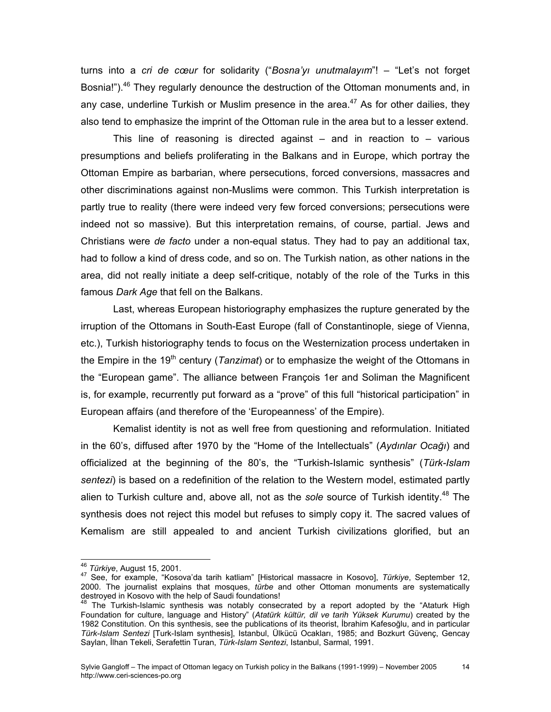turns into a *cri de cœur* for solidarity ("*Bosna'yı unutmalayım*"! – "Let's not forget Bosnia!").<sup>46</sup> They regularly denounce the destruction of the Ottoman monuments and, in any case, underline Turkish or Muslim presence in the area.<sup>47</sup> As for other dailies, they also tend to emphasize the imprint of the Ottoman rule in the area but to a lesser extend.

This line of reasoning is directed against  $-$  and in reaction to  $-$  various presumptions and beliefs proliferating in the Balkans and in Europe, which portray the Ottoman Empire as barbarian, where persecutions, forced conversions, massacres and other discriminations against non-Muslims were common. This Turkish interpretation is partly true to reality (there were indeed very few forced conversions; persecutions were indeed not so massive). But this interpretation remains, of course, partial. Jews and Christians were *de facto* under a non-equal status. They had to pay an additional tax, had to follow a kind of dress code, and so on. The Turkish nation, as other nations in the area, did not really initiate a deep self-critique, notably of the role of the Turks in this famous *Dark Age* that fell on the Balkans.

Last, whereas European historiography emphasizes the rupture generated by the irruption of the Ottomans in South-East Europe (fall of Constantinople, siege of Vienna, etc.), Turkish historiography tends to focus on the Westernization process undertaken in the Empire in the 19<sup>th</sup> century (*Tanzimat*) or to emphasize the weight of the Ottomans in the "European game". The alliance between François 1er and Soliman the Magnificent is, for example, recurrently put forward as a "prove" of this full "historical participation" in European affairs (and therefore of the 'Europeanness' of the Empire).

Kemalist identity is not as well free from questioning and reformulation. Initiated in the 60's, diffused after 1970 by the "Home of the Intellectuals" (*Aydınlar Ocağı*) and officialized at the beginning of the 80's, the "Turkish-Islamic synthesis" (*Türk-Islam sentezi*) is based on a redefinition of the relation to the Western model, estimated partly alien to Turkish culture and, above all, not as the *sole* source of Turkish identity.[48](#page-13-2) The synthesis does not reject this model but refuses to simply copy it. The sacred values of Kemalism are still appealed to and ancient Turkish civilizations glorified, but an

<span id="page-13-1"></span><span id="page-13-0"></span>

<sup>&</sup>lt;sup>46</sup> Türkiye, August 15, 2001.<br><sup>47</sup> See, for example, "Kosova'da tarih katliam" [Historical massacre in Kosovo], *Türkiye*, September 12, 2000. The journalist explains that mosques, *türbe* and other Ottoman monuments are systematically destroyed in Kosovo with the help of Saudi foundations!<br><sup>48</sup> The Turkish-Islamic synthesis was notably consecrated by a report adopted by the "Ataturk High

<span id="page-13-2"></span>Foundation for culture, language and History" (*Atatürk kültür, dil ve tarih Yüksek Kurumu*) created by the 1982 Constitution. On this synthesis, see the publications of its theorist, İbrahim Kafesoğlu, and in particular *Türk-Islam Sentezi* [Turk-Islam synthesis], Istanbul, Ülkücü Ocakları, 1985; and Bozkurt Güvenç, Gencay Saylan, İlhan Tekeli, Serafettin Turan, *Türk-Islam Sentezi*, Istanbul, Sarmal, 1991.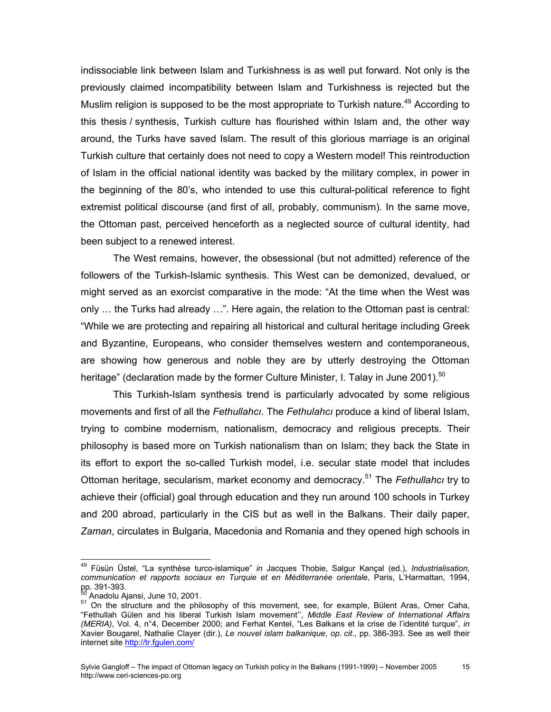indissociable link between Islam and Turkishness is as well put forward. Not only is the previously claimed incompatibility between Islam and Turkishness is rejected but the Muslim religion is supposed to be the most appropriate to Turkish nature.<sup>49</sup> According to this thesis / synthesis, Turkish culture has flourished within Islam and, the other way around, the Turks have saved Islam. The result of this glorious marriage is an original Turkish culture that certainly does not need to copy a Western model! This reintroduction of Islam in the official national identity was backed by the military complex, in power in the beginning of the 80's, who intended to use this cultural-political reference to fight extremist political discourse (and first of all, probably, communism). In the same move, the Ottoman past, perceived henceforth as a neglected source of cultural identity, had been subject to a renewed interest.

The West remains, however, the obsessional (but not admitted) reference of the followers of the Turkish-Islamic synthesis. This West can be demonized, devalued, or might served as an exorcist comparative in the mode: "At the time when the West was only … the Turks had already …". Here again, the relation to the Ottoman past is central: "While we are protecting and repairing all historical and cultural heritage including Greek and Byzantine, Europeans, who consider themselves western and contemporaneous, are showing how generous and noble they are by utterly destroying the Ottoman heritage" (declaration made by the former Culture Minister, I. Talay in June 2001).<sup>[50](#page-14-1)</sup>

This Turkish-Islam synthesis trend is particularly advocated by some religious movements and first of all the *Fethullahcı*. The *Fethulahcı* produce a kind of liberal Islam, trying to combine modernism, nationalism, democracy and religious precepts. Their philosophy is based more on Turkish nationalism than on Islam; they back the State in its effort to export the so-called Turkish model, i.e. secular state model that includes Ottoman heritage, secularism, market economy and democracy.[51](#page-14-2) The *Fethullahcı* try to achieve their (official) goal through education and they run around 100 schools in Turkey and 200 abroad, particularly in the CIS but as well in the Balkans. Their daily paper, *Zaman*, circulates in Bulgaria, Macedonia and Romania and they opened high schools in

<span id="page-14-0"></span>49 Füsün Üstel, "La synthèse turco-islamique" *in* Jacques Thobie, Salgur Kançal (ed.), *Industrialisation,*  communication et rapports sociaux en Turquie et en Méditerranée orientale, Paris, L'Harmattan, 1994, pp. 391-393.

<span id="page-14-2"></span><span id="page-14-1"></span>

<sup>&</sup>lt;sup>50</sup> Anadolu Ajansi, June 10, 2001.<br><sup>51</sup> On the structure and the philosophy of this movement, see, for example, Bülent Aras, Omer Caha, "Fethullah Gülen and his liberal Turkish Islam movement'', *Middle East Review of International Affairs (MERIA)*, Vol. 4, n°4, December 2000; and Ferhat Kentel, "Les Balkans et la crise de l'identité turque", *in* Xavier Bougarel, Nathalie Clayer (dir.), *Le nouvel islam balkanique*, *op. cit*., pp. 386-393. See as well their internet site <http://tr.fgulen.com/>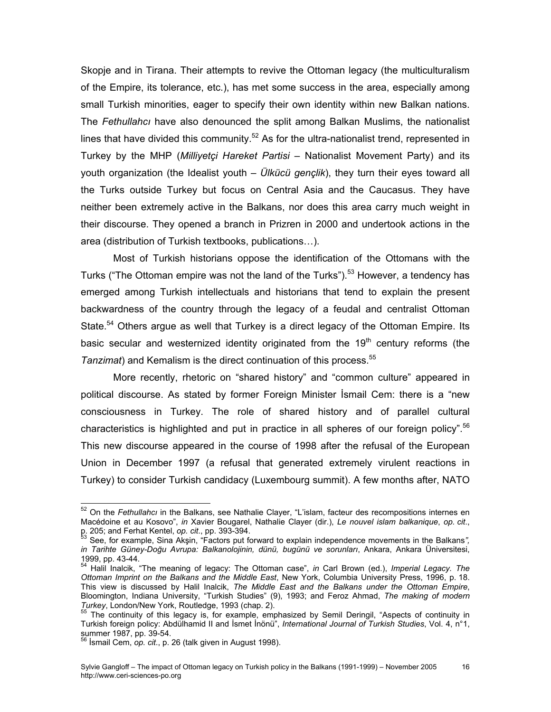Skopje and in Tirana. Their attempts to revive the Ottoman legacy (the multiculturalism of the Empire, its tolerance, etc.), has met some success in the area, especially among small Turkish minorities, eager to specify their own identity within new Balkan nations. The *Fethullahcı* have also denounced the split among Balkan Muslims, the nationalist lines that have divided this community.<sup>52</sup> As for the ultra-nationalist trend, represented in Turkey by the MHP (*Milliyetçi Hareket Partisi –* Nationalist Movement Party) and its youth organization (the Idealist youth – *Ülkücü gençlik*), they turn their eyes toward all the Turks outside Turkey but focus on Central Asia and the Caucasus. They have neither been extremely active in the Balkans, nor does this area carry much weight in their discourse. They opened a branch in Prizren in 2000 and undertook actions in the area (distribution of Turkish textbooks, publications…).

Most of Turkish historians oppose the identification of the Ottomans with the Turks ("The Ottoman empire was not the land of the Turks").<sup>53</sup> However, a tendency has emerged among Turkish intellectuals and historians that tend to explain the present backwardness of the country through the legacy of a feudal and centralist Ottoman State.<sup>54</sup> Others argue as well that Turkey is a direct legacy of the Ottoman Empire. Its basic secular and westernized identity originated from the  $19<sup>th</sup>$  century reforms (the *Tanzimat*) and Kemalism is the direct continuation of this process.<sup>55</sup>

More recently, rhetoric on "shared history" and "common culture" appeared in political discourse. As stated by former Foreign Minister İsmail Cem: there is a "new consciousness in Turkey. The role of shared history and of parallel cultural characteristics is highlighted and put in practice in all spheres of our foreign policy".<sup>[56](#page-15-4)</sup> This new discourse appeared in the course of 1998 after the refusal of the European Union in December 1997 (a refusal that generated extremely virulent reactions in Turkey) to consider Turkish candidacy (Luxembourg summit). A few months after, NATO

<span id="page-15-0"></span>52 On the *Fethullahcı* in the Balkans, see Nathalie Clayer, "L'islam, facteur des recompositions internes en Macédoine et au Kosovo", *in* Xavier Bougarel, Nathalie Clayer (dir.), *Le nouvel islam balkanique*, *op. cit*., p. 205; and Ferhat Kentel, *op. cit.*, pp. 393-394.<br>p. 205; and Ferhat Kentel, *op. cit.*, pp. 393-394.<br><sup>53</sup> See, for example, Sina Akşin, "Factors put forward to explain independence movements in the Balkans",

<span id="page-15-1"></span>*in Tarihte Güney-Doğu Avrupa: Balkanolojinin, dünü, bugünü ve sorunları*, Ankara, Ankara Üniversitesi,

<span id="page-15-2"></span><sup>1999,</sup> pp. 43-44.<br>54 Halil Inalcik, "The meaning of legacy: The Ottoman case", *in* Carl Brown (ed.), *Imperial Legacy. The*<br>54 Halil Inalcik, "The meaning of legacy: The Ottoman case", *in* Calumbia University Press, 1996, *Ottoman Imprint on the Balkans and the Middle East*, New York, Columbia University Press, 1996, p. 18. This view is discussed by Halil Inalcik, *The Middle East and the Balkans under the Ottoman Empire*, Bloomington, Indiana University, "Turkish Studies" (9), 1993; and Feroz Ahmad, *The making of modern Turkey*, London/New York, Routledge, 1993 (chap. 2).<br>
<sup>55</sup> The continuity of this legacy is, for example, emphasized by Semil Deringil, "Aspects of continuity in

<span id="page-15-3"></span>Turkish foreign policy: Abdülhamid II and İsmet İnönü", *International Journal of Turkish Studies*, Vol. 4, n°1, summer 1987, pp. 39-54.<br><sup>56</sup> İsmail Cem, *op. cit.*, p. 26 (talk given in August 1998).

<span id="page-15-4"></span>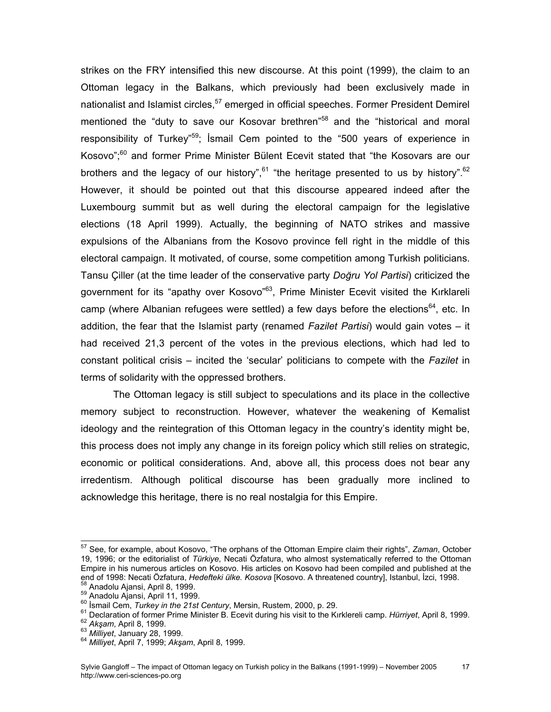strikes on the FRY intensified this new discourse. At this point (1999), the claim to an Ottoman legacy in the Balkans, which previously had been exclusively made in nationalist and Islamist circles,<sup>57</sup> emerged in official speeches. Former President Demirel mentioned the "duty to save our Kosovar brethren"<sup>58</sup> and the "historical and moral responsibility of Turkey<sup>"59</sup>; Ismail Cem pointed to the "500 years of experience in Kosovo";<sup>60</sup> and former Prime Minister Bülent Ecevit stated that "the Kosovars are our brothers and the legacy of our history",  $61$  "the heritage presented to us by history".  $62$ However, it should be pointed out that this discourse appeared indeed after the Luxembourg summit but as well during the electoral campaign for the legislative elections (18 April 1999). Actually, the beginning of NATO strikes and massive expulsions of the Albanians from the Kosovo province fell right in the middle of this electoral campaign. It motivated, of course, some competition among Turkish politicians. Tansu Çiller (at the time leader of the conservative party *Doğru Yol Partisi*) criticized the government for its "apathy over Kosovo"<sup>63</sup>, Prime Minister Ecevit visited the Kırklareli camp (where Albanian refugees were settled) a few days before the elections<sup>64</sup>, etc. In addition, the fear that the Islamist party (renamed *Fazilet Partisi*) would gain votes – it had received 21,3 percent of the votes in the previous elections, which had led to constant political crisis – incited the 'secular' politicians to compete with the *Fazilet* in terms of solidarity with the oppressed brothers.

The Ottoman legacy is still subject to speculations and its place in the collective memory subject to reconstruction. However, whatever the weakening of Kemalist ideology and the reintegration of this Ottoman legacy in the country's identity might be, this process does not imply any change in its foreign policy which still relies on strategic, economic or political considerations. And, above all, this process does not bear any irredentism. Although political discourse has been gradually more inclined to acknowledge this heritage, there is no real nostalgia for this Empire.

<span id="page-16-0"></span>57 See, for example, about Kosovo, "The orphans of the Ottoman Empire claim their rights", *Zaman*, October 19, 1996; or the editorialist of *Türkiye*, Necati Özfatura, who almost systematically referred to the Ottoman Empire in his numerous articles on Kosovo. His articles on Kosovo had been compiled and published at the end of 1998: Necati Özfatura, *Hedefteki ülke. Kosova* [Kosovo. A threatened country], Istanbul, Izci, 1998.<br><sup>58</sup> Anadolu Ajansi, April 8, 1999.<br><sup>59</sup> Anadolu Ajansi, April 11, 1999.<br><sup>61</sup> Ismail Cem, *Turkey in the 21st Cen* 

<span id="page-16-2"></span><span id="page-16-1"></span>

<span id="page-16-3"></span>

<span id="page-16-4"></span>

<span id="page-16-5"></span>

<span id="page-16-6"></span>

<span id="page-16-7"></span>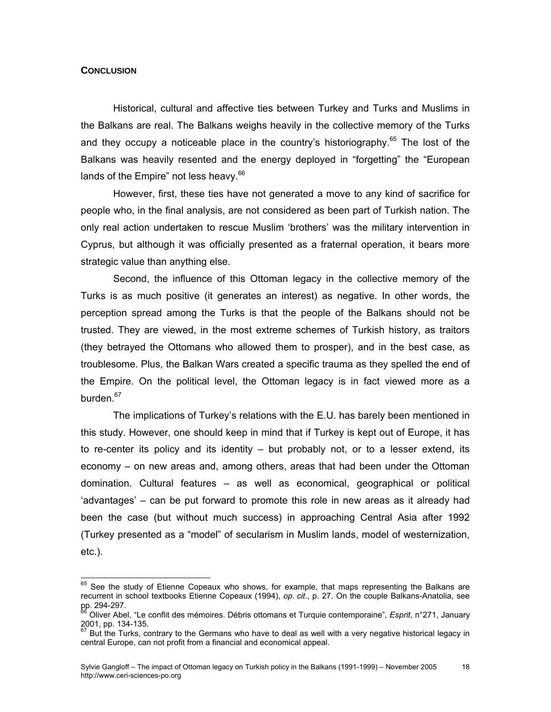## **CONCLUSION**

Historical, cultural and affective ties between Turkey and Turks and Muslims in the Balkans are real. The Balkans weighs heavily in the collective memory of the Turks and they occupy a noticeable place in the country's historiography.<sup>65</sup> The lost of the Balkans was heavily resented and the energy deployed in "forgetting" the "European lands of the Empire" not less heavy.<sup>[66](#page-17-1)</sup>

However, first, these ties have not generated a move to any kind of sacrifice for people who, in the final analysis, are not considered as been part of Turkish nation. The only real action undertaken to rescue Muslim 'brothers' was the military intervention in Cyprus, but although it was officially presented as a fraternal operation, it bears more strategic value than anything else.

Second, the influence of this Ottoman legacy in the collective memory of the Turks is as much positive (it generates an interest) as negative. In other words, the perception spread among the Turks is that the people of the Balkans should not be trusted. They are viewed, in the most extreme schemes of Turkish history, as traitors (they betrayed the Ottomans who allowed them to prosper), and in the best case, as troublesome. Plus, the Balkan Wars created a specific trauma as they spelled the end of the Empire. On the political level, the Ottoman legacy is in fact viewed more as a burden.<sup>67</sup>

The implications of Turkey's relations with the E.U. has barely been mentioned in this study. However, one should keep in mind that if Turkey is kept out of Europe, it has to re-center its policy and its identity – but probably not, or to a lesser extend, its economy – on new areas and, among others, areas that had been under the Ottoman domination. Cultural features – as well as economical, geographical or political 'advantages' – can be put forward to promote this role in new areas as it already had been the case (but without much success) in approaching Central Asia after 1992 (Turkey presented as a "model" of secularism in Muslim lands, model of westernization, etc.).

<span id="page-17-0"></span> $65$  See the study of Etienne Copeaux who shows, for example, that maps representing the Balkans are recurrent in school textbooks Etienne Copeaux (1994), *op. cit*., p. 27. On the couple Balkans-Anatolia, see

<span id="page-17-1"></span>pp. 294-297.<br><sup>66</sup> Oliver Abel, "Le conflit des mémoires. Débris ottomans et Turquie contemporaine", *Esprit*, n°271, January<br>2001, pp. 134-135.

<span id="page-17-2"></span>But the Turks, contrary to the Germans who have to deal as well with a very negative historical legacy in central Europe, can not profit from a financial and economical appeal.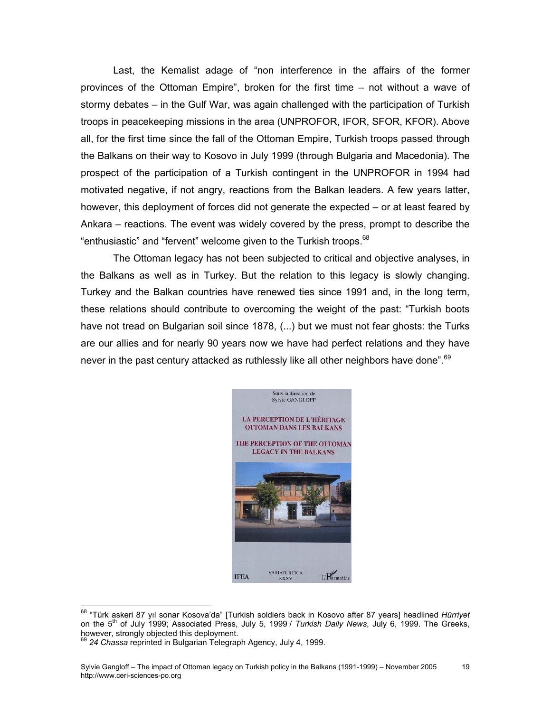Last, the Kemalist adage of "non interference in the affairs of the former provinces of the Ottoman Empire", broken for the first time – not without a wave of stormy debates – in the Gulf War, was again challenged with the participation of Turkish troops in peacekeeping missions in the area (UNPROFOR, IFOR, SFOR, KFOR). Above all, for the first time since the fall of the Ottoman Empire, Turkish troops passed through the Balkans on their way to Kosovo in July 1999 (through Bulgaria and Macedonia). The prospect of the participation of a Turkish contingent in the UNPROFOR in 1994 had motivated negative, if not angry, reactions from the Balkan leaders. A few years latter, however, this deployment of forces did not generate the expected – or at least feared by Ankara – reactions. The event was widely covered by the press, prompt to describe the "enthusiastic" and "fervent" welcome given to the Turkish troops.<sup>68</sup>

The Ottoman legacy has not been subjected to critical and objective analyses, in the Balkans as well as in Turkey. But the relation to this legacy is slowly changing. Turkey and the Balkan countries have renewed ties since 1991 and, in the long term, these relations should contribute to overcoming the weight of the past: "Turkish boots have not tread on Bulgarian soil since 1878, (...) but we must not fear ghosts: the Turks are our allies and for nearly 90 years now we have had perfect relations and they have never in the past century attacked as ruthlessly like all other neighbors have done".<sup>69</sup>



68 "Türk askeri 87 yıl sonar Kosova'da" [Turkish soldiers back in Kosovo after 87 years] headlined *Hürriyet* on the 5<sup>th</sup> of July 1999; Associated Press, July 5, 1999 / *Turkish Daily News*, July 6, 1999. The Greeks, however, strongly objected this deployment.

<span id="page-18-1"></span><span id="page-18-0"></span><sup>24</sup> Chassa reprinted in Bulgarian Telegraph Agency, July 4, 1999.